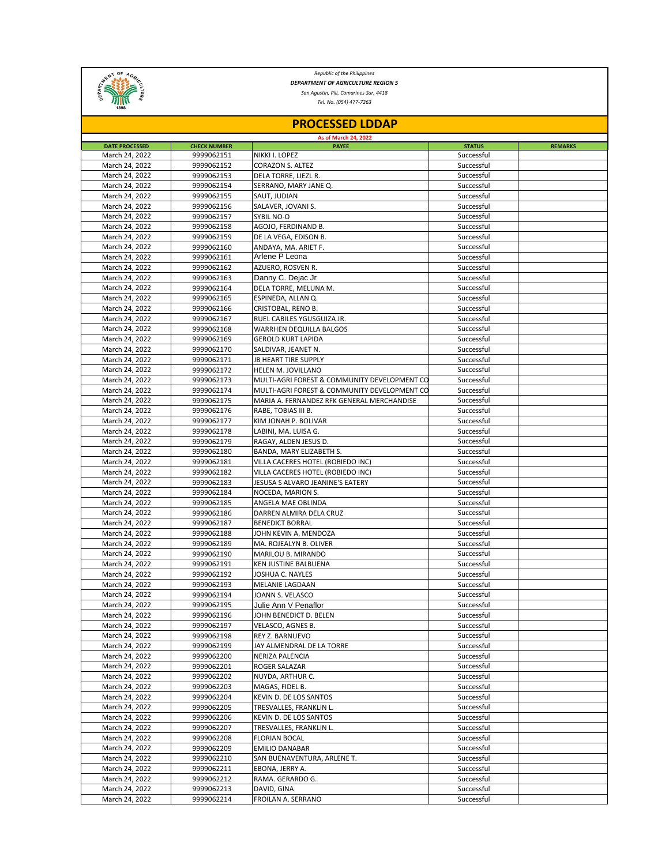

*Republic of the Philippines DEPARTMENT OF AGRICULTURE REGION 5*

*San Agustin, Pili, Camarines Sur, 4418*

*Tel. No. (054) 477-7263*

| <b>PROCESSED LDDAP</b><br><b>As of March 24, 2022</b> |            |                                              |            |  |  |  |  |
|-------------------------------------------------------|------------|----------------------------------------------|------------|--|--|--|--|
|                                                       |            |                                              |            |  |  |  |  |
| March 24, 2022                                        | 9999062151 | NIKKI I. LOPEZ                               | Successful |  |  |  |  |
| March 24, 2022                                        | 9999062152 | CORAZON S. ALTEZ                             | Successful |  |  |  |  |
| March 24, 2022                                        | 9999062153 | DELA TORRE, LIEZL R.                         | Successful |  |  |  |  |
| March 24, 2022                                        | 9999062154 | SERRANO, MARY JANE Q.                        | Successful |  |  |  |  |
| March 24, 2022                                        | 9999062155 | SAUT, JUDIAN                                 | Successful |  |  |  |  |
| March 24, 2022                                        | 9999062156 | SALAVER, JOVANI S.                           | Successful |  |  |  |  |
| March 24, 2022                                        | 9999062157 | SYBIL NO-O                                   | Successful |  |  |  |  |
| March 24, 2022                                        | 9999062158 | AGOJO, FERDINAND B.                          | Successful |  |  |  |  |
| March 24, 2022                                        | 9999062159 | DE LA VEGA, EDISON B.                        | Successful |  |  |  |  |
| March 24, 2022                                        | 9999062160 | ANDAYA, MA. ARIET F.                         | Successful |  |  |  |  |
| March 24, 2022                                        | 9999062161 | Arlene P Leona                               | Successful |  |  |  |  |
| March 24, 2022                                        | 9999062162 | AZUERO, ROSVEN R.                            | Successful |  |  |  |  |
| March 24, 2022                                        | 9999062163 | Danny C. Dejac Jr                            | Successful |  |  |  |  |
| March 24, 2022                                        | 9999062164 | DELA TORRE, MELUNA M.                        | Successful |  |  |  |  |
| March 24, 2022                                        | 9999062165 | ESPINEDA, ALLAN Q.                           | Successful |  |  |  |  |
| March 24, 2022                                        | 9999062166 | CRISTOBAL, RENO B.                           | Successful |  |  |  |  |
| March 24, 2022                                        | 9999062167 | RUEL CABILES YGUSGUIZA JR.                   | Successful |  |  |  |  |
| March 24, 2022                                        | 9999062168 | WARRHEN DEQUILLA BALGOS                      | Successful |  |  |  |  |
| March 24, 2022                                        | 9999062169 | <b>GEROLD KURT LAPIDA</b>                    | Successful |  |  |  |  |
| March 24, 2022                                        | 9999062170 | SALDIVAR, JEANET N.                          | Successful |  |  |  |  |
| March 24, 2022                                        | 9999062171 | JB HEART TIRE SUPPLY                         | Successful |  |  |  |  |
| March 24, 2022                                        | 9999062172 | HELEN M. JOVILLANO                           | Successful |  |  |  |  |
| March 24, 2022                                        | 9999062173 | MULTI-AGRI FOREST & COMMUNITY DEVELOPMENT CO | Successful |  |  |  |  |
| March 24, 2022                                        | 9999062174 | MULTI-AGRI FOREST & COMMUNITY DEVELOPMENT CO | Successful |  |  |  |  |
| March 24, 2022                                        | 9999062175 | MARIA A. FERNANDEZ RFK GENERAL MERCHANDISE   | Successful |  |  |  |  |
| March 24, 2022                                        | 9999062176 | RABE, TOBIAS III B.                          | Successful |  |  |  |  |
| March 24, 2022                                        | 9999062177 | KIM JONAH P. BOLIVAR                         | Successful |  |  |  |  |
| March 24, 2022                                        | 9999062178 | LABINI, MA. LUISA G.                         | Successful |  |  |  |  |
| March 24, 2022                                        | 9999062179 | RAGAY, ALDEN JESUS D.                        | Successful |  |  |  |  |
| March 24, 2022                                        | 9999062180 | BANDA, MARY ELIZABETH S.                     | Successful |  |  |  |  |
| March 24, 2022                                        | 9999062181 | VILLA CACERES HOTEL (ROBIEDO INC)            | Successful |  |  |  |  |
| March 24, 2022                                        | 9999062182 | VILLA CACERES HOTEL (ROBIEDO INC)            | Successful |  |  |  |  |
| March 24, 2022                                        | 9999062183 | JESUSA S ALVARO JEANINE'S EATERY             | Successful |  |  |  |  |
| March 24, 2022                                        | 9999062184 | NOCEDA, MARION S.                            | Successful |  |  |  |  |
| March 24, 2022                                        | 9999062185 | ANGELA MAE OBLINDA                           | Successful |  |  |  |  |
| March 24, 2022                                        | 9999062186 | DARREN ALMIRA DELA CRUZ                      | Successful |  |  |  |  |
| March 24, 2022                                        | 9999062187 | <b>BENEDICT BORRAL</b>                       | Successful |  |  |  |  |
| March 24, 2022                                        | 9999062188 | JOHN KEVIN A. MENDOZA                        | Successful |  |  |  |  |
| March 24, 2022                                        | 9999062189 | MA. ROJEALYN B. OLIVER                       | Successful |  |  |  |  |
| March 24, 2022                                        | 9999062190 | MARILOU B. MIRANDO                           | Successful |  |  |  |  |
| March 24, 2022                                        | 9999062191 | KEN JUSTINE BALBUENA                         | Successful |  |  |  |  |
| March 24, 2022                                        | 9999062192 | JOSHUA C. NAYLES                             | Successful |  |  |  |  |
| March 24, 2022                                        | 9999062193 | MELANIE LAGDAAN                              | Successful |  |  |  |  |
| March 24, 2022                                        | 9999062194 | JOANN S. VELASCO                             | Successful |  |  |  |  |
| March 24, 2022                                        | 9999062195 | Julie Ann V Penaflor                         | Successful |  |  |  |  |
| March 24, 2022                                        | 9999062196 | JOHN BENEDICT D. BELEN                       | Successful |  |  |  |  |
| March 24, 2022                                        | 9999062197 | VELASCO, AGNES B.                            | Successful |  |  |  |  |
| March 24, 2022                                        | 9999062198 | REY Z. BARNUEVO                              | Successful |  |  |  |  |
| March 24, 2022                                        | 9999062199 | JAY ALMENDRAL DE LA TORRE                    | Successful |  |  |  |  |
| March 24, 2022                                        | 9999062200 | NERIZA PALENCIA                              | Successful |  |  |  |  |
| March 24, 2022                                        | 9999062201 | ROGER SALAZAR                                | Successful |  |  |  |  |
| March 24, 2022                                        | 9999062202 | NUYDA, ARTHUR C.                             | Successful |  |  |  |  |
| March 24, 2022                                        | 9999062203 | MAGAS, FIDEL B.                              | Successful |  |  |  |  |
| March 24, 2022                                        | 9999062204 | KEVIN D. DE LOS SANTOS                       | Successful |  |  |  |  |
| March 24, 2022                                        | 9999062205 | TRESVALLES, FRANKLIN L.                      | Successful |  |  |  |  |
| March 24, 2022                                        | 9999062206 | KEVIN D. DE LOS SANTOS                       | Successful |  |  |  |  |
| March 24, 2022                                        | 9999062207 | TRESVALLES, FRANKLIN L.                      | Successful |  |  |  |  |
| March 24, 2022                                        | 9999062208 | <b>FLORIAN BOCAL</b>                         | Successful |  |  |  |  |
| March 24, 2022                                        | 9999062209 | <b>EMILIO DANABAR</b>                        | Successful |  |  |  |  |
| March 24, 2022                                        | 9999062210 | SAN BUENAVENTURA, ARLENE T.                  | Successful |  |  |  |  |
| March 24, 2022                                        | 9999062211 | EBONA, JERRY A.                              | Successful |  |  |  |  |
| March 24, 2022                                        | 9999062212 | RAMA. GERARDO G.                             | Successful |  |  |  |  |
| March 24, 2022                                        | 9999062213 | DAVID, GINA                                  | Successful |  |  |  |  |
| March 24, 2022                                        | 9999062214 | FROILAN A. SERRANO                           | Successful |  |  |  |  |